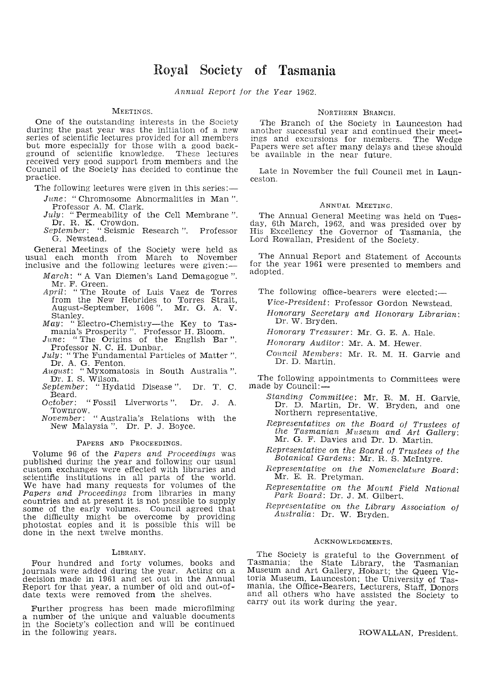# **Royal Society of Tasmania**

Annual Report for the Year 1962.

## MEETINGS.

One of the outstanding interests in the Society during the past year was the initiation of a new series of scientific lectures provided for all members but more especially for those with a good back-ground of scientific knowledge. These lectures received very good support from members and the Council of 'the Society has decided to continue the practice.

The following lectures were given in this series:—

- June: "Chromosome Abnormalities in Man ". Professor A. M. Clark.
- July: "Permeability of the Cell Membrane".
- Dr. R. K. Crowdon. September: "Seismic Research ". Professor G. Newstead.

General Meetings of the Society were held as usual each month from March to November inclusive and the following lectures were given:-

- March: "A Van Diemen's Land Demagogue ".
- Mr. F. Green. April: "The Route of Luis Vaez de Torres from the New Hebrides to Torres Strait, August-September, 1606". Mr. G. A. V. Stanley.
- $\textit{May}:$  "Electro-Chemistry-the Key to Tas-
- mania's Prosperity". Professor H. Bloom. June: "The Origins of the English Bar ". Professor N. C. H. Dunbar.
- July: "The Fundamental Particles of Matter ".
- Dr. A. G. Fenton. August: "Myxomatosis in South Australia ".
- Dr. 1. S. Wilson. September: "Hydatid Disease". Dr. T. C. Beard.<br>October:

"Fossil Liverworts ". Dr. J. A.

Townrow. November: "Australia's Relations with the New Malaysia ". Dr. P. J. Boyce.

## PAPERS AND PROCEEDINGS.

Volume 96 of the Papers and Proceedings was published during the year and following our usual custom exchanges were effected with libraries and scientific institutions in all parts of the world. We have had many requests for volumes of the Papers and Proceedings from libraries in many countries and at present it is not possible to supply some of the early volumes. Council agreed that the difficulty might be overcome by providing photostat copies and it is possible this will be done in the next twelve months.

#### LIBRARY.

Four hundred and forty volumes, books and journals were added during the year. Acting on a decision made in 1961 and set out in the Annual Report for that year, a number of old and out-ofdate texts were removed from the shelves.

Further progress has been made microfilming a number of the unique and valuable documents in the Society's collection and will be continued in the following years.

## NORTHERN BRANCH.

The Branch of the Society in Launceston had another successful year and continued their meetings and excursions for members. The Wedge Papers were set after many delays and these should be available in the near future.

Late in November the full Council met in Launceston.

## ANNUAL MEETING.

The Annual General Meeting was held on Tues-<br>day, 6th March, 1962, and was presided over by day, 6th March, 1962, and was presided over by His Excellency the Governor of Tasmania, the Lord Rowallan, President of the Society.

The Annual Report and Statement of Accounts for the year 1961 were presented to members and adopted.

The following office-bearers were elected:-

- Vice-President: Professor Gordon Newstead.
- Honorary Secretary and Honorary Librarian: Dr. W. Bryden.
- Honorary Treasurer: Mr. G. E. A. Hale.
- Honorary Auditor: Mr. A. M. Hewer.

Council Members: Mr. R. M. H. Garvie and Dr. D. Martin.

The following appointments to Committees were made by Council:—

- Standing Committee: Mr. R. M. H. Garvie, Dr. D. Martin, Dr. W. Bryden, and one Northern representative.
- Representatives on the Board oj Trustees of the Tasmanian Museum and Art Gallery: Mr. G. F. Davies and Dr. D. Martin.
- Representative on the Board oj Trustees oj the Botanical Gardens: Mr. R. S. McIntyre.
- Representative on the Nomenclature Board: Mr. E. R. Pretyman.
- Representative on the Mount Field National Park Board: Dr. J. M. Gilbert.
- Representative on the Library Association oj Australia: Dr. W. Bryden.

#### ACKNOWLEDGMENTS.

The Society is grateful to the Government of Tasmania; the State Library, the Tasmanian Museum and Art Gallery, Hobart; the Queen Victoria Museum, Launceston; the University of Tasmania, the Office-Bearers, Lecturers, Staff, Donors and all others who have assisted the Society to carry out its work during the year.

ROW ALLAN, President.